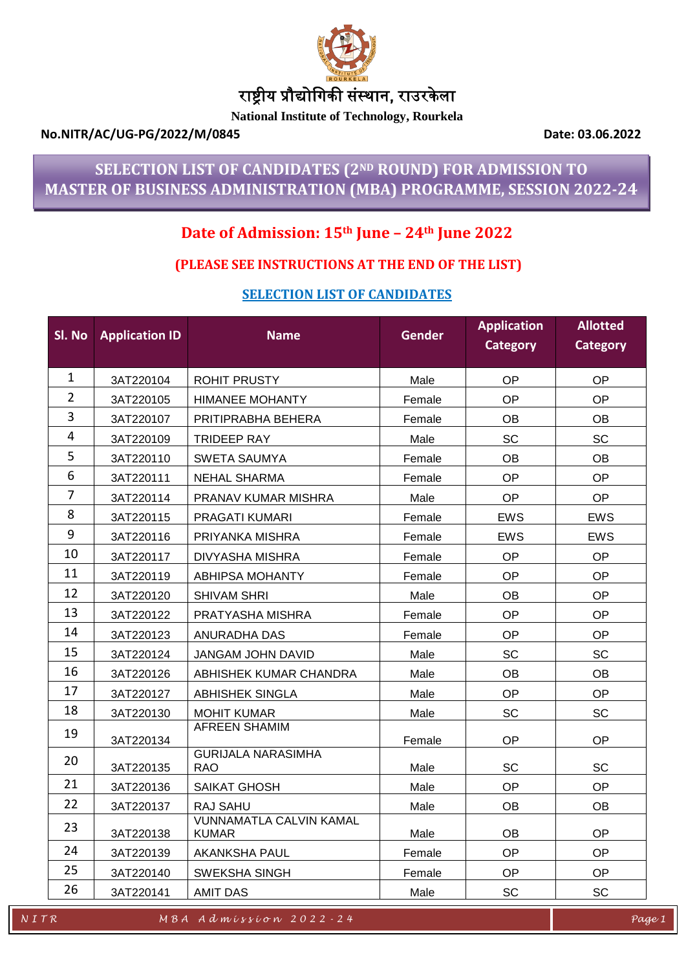

# राष्ट्रीय प्रौद्योगिकी संस्थान, राउरके ला

**National Institute of Technology, Rourkela**

## **No.NITR/AC/UG-PG/2022/M/0845 Date: 03.06.2022**

# **SELECTION LIST OF CANDIDATES (2ND ROUND) FOR ADMISSION TO MASTER OF BUSINESS ADMINISTRATION (MBA) PROGRAMME, SESSION 2022-24**

# **Date of Admission: 15th June – 24th June 2022**

# **(PLEASE SEE INSTRUCTIONS AT THE END OF THE LIST)**

## **SELECTION LIST OF CANDIDATES**

| SI. No         | <b>Application ID</b> | <b>Name</b>                                    | <b>Gender</b> | <b>Application</b><br>Category | <b>Allotted</b><br><b>Category</b> |
|----------------|-----------------------|------------------------------------------------|---------------|--------------------------------|------------------------------------|
| $\mathbf{1}$   | 3AT220104             | <b>ROHIT PRUSTY</b>                            | Male          | OP                             | <b>OP</b>                          |
| $\overline{2}$ | 3AT220105             | <b>HIMANEE MOHANTY</b>                         | Female        | <b>OP</b>                      | <b>OP</b>                          |
| 3              | 3AT220107             | PRITIPRABHA BEHERA                             | Female        | <b>OB</b>                      | <b>OB</b>                          |
| $\overline{4}$ | 3AT220109             | <b>TRIDEEP RAY</b>                             | Male          | <b>SC</b>                      | <b>SC</b>                          |
| 5              | 3AT220110             | <b>SWETA SAUMYA</b>                            | Female        | <b>OB</b>                      | <b>OB</b>                          |
| 6              | 3AT220111             | NEHAL SHARMA                                   | Female        | <b>OP</b>                      | <b>OP</b>                          |
| 7              | 3AT220114             | PRANAV KUMAR MISHRA                            | Male          | <b>OP</b>                      | <b>OP</b>                          |
| 8              | 3AT220115             | PRAGATI KUMARI                                 | Female        | <b>EWS</b>                     | <b>EWS</b>                         |
| 9              | 3AT220116             | PRIYANKA MISHRA                                | Female        | <b>EWS</b>                     | <b>EWS</b>                         |
| 10             | 3AT220117             | DIVYASHA MISHRA                                | Female        | <b>OP</b>                      | <b>OP</b>                          |
| 11             | 3AT220119             | <b>ABHIPSA MOHANTY</b>                         | Female        | <b>OP</b>                      | <b>OP</b>                          |
| 12             | 3AT220120             | <b>SHIVAM SHRI</b>                             | Male          | <b>OB</b>                      | <b>OP</b>                          |
| 13             | 3AT220122             | PRATYASHA MISHRA                               | Female        | <b>OP</b>                      | <b>OP</b>                          |
| 14             | 3AT220123             | ANURADHA DAS                                   | Female        | OP                             | OP                                 |
| 15             | 3AT220124             | JANGAM JOHN DAVID                              | Male          | SC                             | <b>SC</b>                          |
| 16             | 3AT220126             | ABHISHEK KUMAR CHANDRA                         | Male          | <b>OB</b>                      | <b>OB</b>                          |
| 17             | 3AT220127             | <b>ABHISHEK SINGLA</b>                         | Male          | OP                             | <b>OP</b>                          |
| 18             | 3AT220130             | <b>MOHIT KUMAR</b>                             | Male          | SC                             | SC                                 |
| 19             | 3AT220134             | <b>AFREEN SHAMIM</b>                           | Female        | OP                             | <b>OP</b>                          |
| 20             | 3AT220135             | <b>GURIJALA NARASIMHA</b><br>RAO               | Male          | <b>SC</b>                      | <b>SC</b>                          |
| 21             | 3AT220136             | <b>SAIKAT GHOSH</b>                            | Male          | <b>OP</b>                      | <b>OP</b>                          |
| 22             | 3AT220137             | RAJ SAHU                                       | Male          | OB                             | OB.                                |
| 23             | 3AT220138             | <b>VUNNAMATLA CALVIN KAMAL</b><br><b>KUMAR</b> | Male          | <b>OB</b>                      | <b>OP</b>                          |
| 24             | 3AT220139             | <b>AKANKSHA PAUL</b>                           | Female        | OP                             | <b>OP</b>                          |
| 25             | 3AT220140             | <b>SWEKSHA SINGH</b>                           | Female        | OP                             | <b>OP</b>                          |
| 26             | 3AT220141             | <b>AMIT DAS</b>                                | Male          | <b>SC</b>                      | <b>SC</b>                          |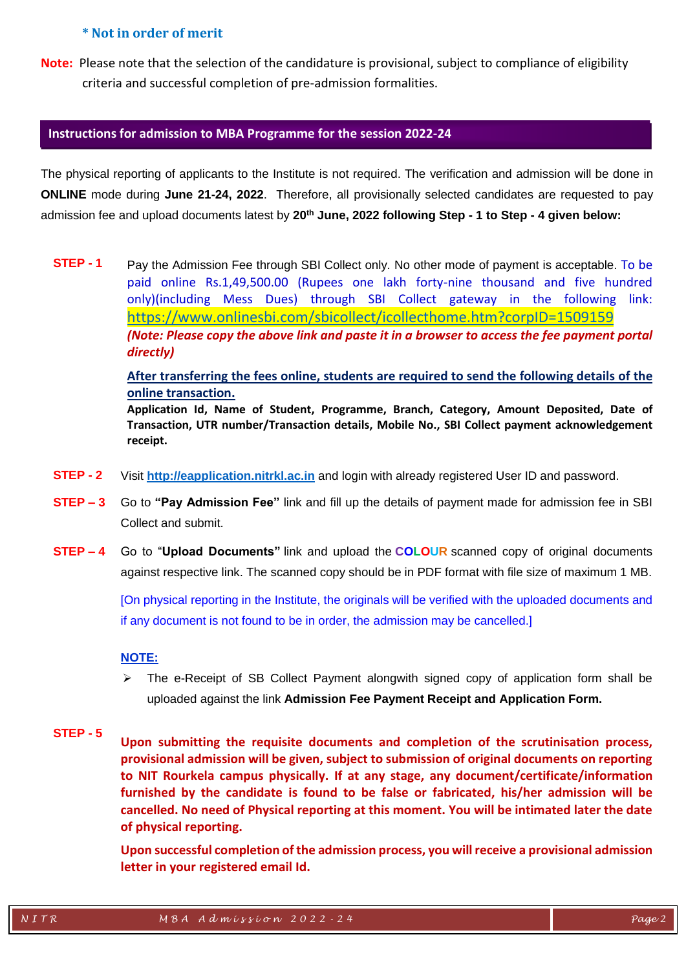## **\* Not in order of merit**

**Note:** Please note that the selection of the candidature is provisional, subject to compliance of eligibility criteria and successful completion of pre-admission formalities.

### **Instructions for admission to MBA Programme for the session 2022-24**

The physical reporting of applicants to the Institute is not required. The verification and admission will be done in **ONLINE** mode during **June 21-24, 2022**. Therefore, all provisionally selected candidates are requested to pay admission fee and upload documents latest by **20 th June, 2022 following Step - 1 to Step - 4 given below:**

**STEP - 1** Pay the Admission Fee through SBI Collect only. No other mode of payment is acceptable. To be paid online Rs.1,49,500.00 (Rupees one lakh forty-nine thousand and five hundred only)(including Mess Dues) through SBI Collect gateway in the following link: <https://www.onlinesbi.com/sbicollect/icollecthome.htm?corpID=1509159> *(Note: Please copy the above link and paste it in a browser to access the fee payment portal directly)*

**After transferring the fees online, students are required to send the following details of the online transaction.** 

**Application Id, Name of Student, Programme, Branch, Category, Amount Deposited, Date of Transaction, UTR number/Transaction details, Mobile No., SBI Collect payment acknowledgement receipt.**

- **STEP - 2** Visit **[http://eapplication.nitrkl.ac.in](http://eapplication.nitrkl.ac.in/)** and login with already registered User ID and password.
- **STEP – 3** Go to **"Pay Admission Fee"** link and fill up the details of payment made for admission fee in SBI Collect and submit.
- **STEP – 4** Go to "**Upload Documents"** link and upload the **COLOUR** scanned copy of original documents against respective link. The scanned copy should be in PDF format with file size of maximum 1 MB.

[On physical reporting in the Institute, the originals will be verified with the uploaded documents and if any document is not found to be in order, the admission may be cancelled.]

## **NOTE:**

 $\triangleright$  The e-Receipt of SB Collect Payment alongwith signed copy of application form shall be uploaded against the link **Admission Fee Payment Receipt and Application Form.**

### **STEP - 5**

**Upon submitting the requisite documents and completion of the scrutinisation process, provisional admission will be given, subject to submission of original documents on reporting to NIT Rourkela campus physically. If at any stage, any document/certificate/information furnished by the candidate is found to be false or fabricated, his/her admission will be cancelled. No need of Physical reporting at this moment. You will be intimated later the date of physical reporting.** 

**Upon successful completion of the admission process, you will receive a provisional admission letter in your registered email Id.**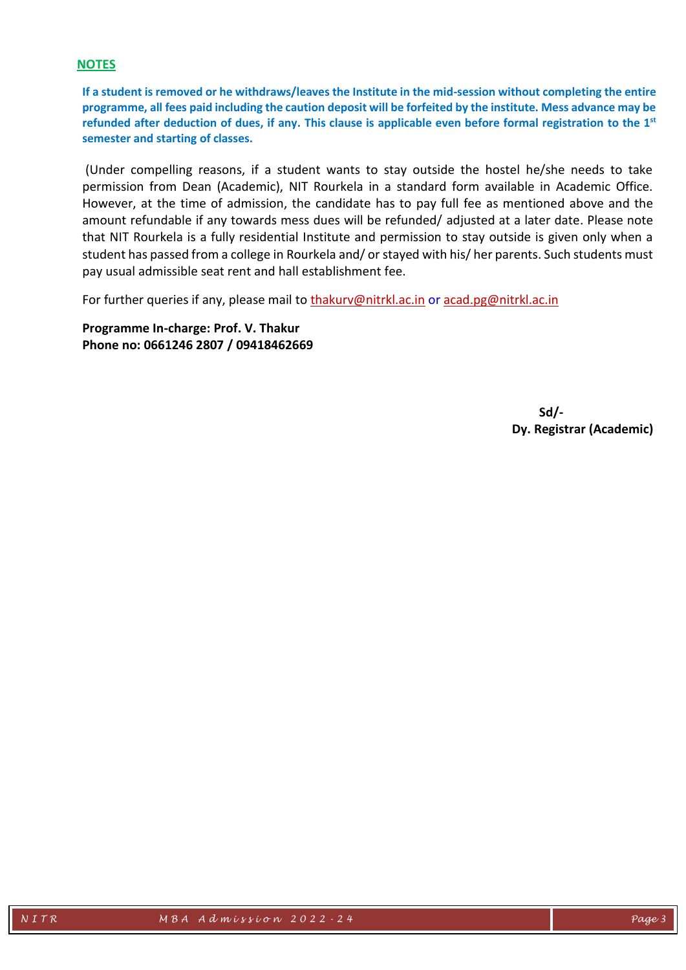## **NOTES**

**If a student is removed or he withdraws/leaves the Institute in the mid-session without completing the entire programme, all fees paid including the caution deposit will be forfeited by the institute. Mess advance may be refunded after deduction of dues, if any. This clause is applicable even before formal registration to the 1st semester and starting of classes.**

(Under compelling reasons, if a student wants to stay outside the hostel he/she needs to take permission from Dean (Academic), NIT Rourkela in a standard form available in Academic Office. However, at the time of admission, the candidate has to pay full fee as mentioned above and the amount refundable if any towards mess dues will be refunded/ adjusted at a later date. Please note that NIT Rourkela is a fully residential Institute and permission to stay outside is given only when a student has passed from a college in Rourkela and/ or stayed with his/ her parents. Such students must pay usual admissible seat rent and hall establishment fee.

For further queries if any, please mail to [thakurv@nitrkl.ac.in](mailto:thakurv@nitrkl.ac.in) or [acad.pg@nitrkl.ac.in](mailto:acad.pg@nitrkl.ac.in)

**Programme In-charge: Prof. V. Thakur Phone no: 0661246 2807 / 09418462669**

> **Sd/- Dy. Registrar (Academic)**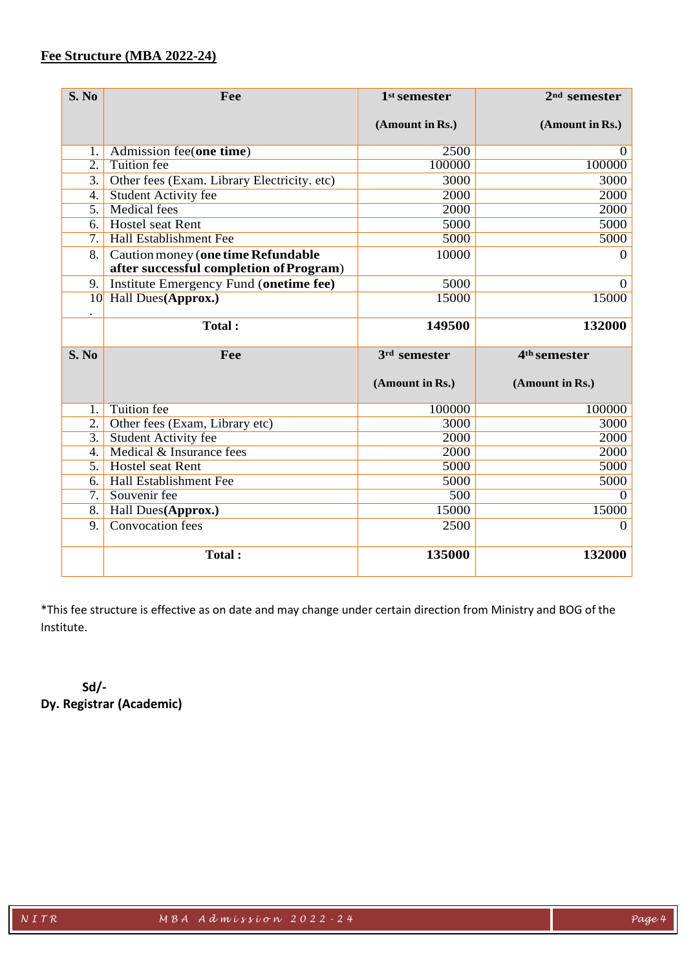## **Fee Structure (MBA 2022-24)**

| S. No            | Fee                                         | 1 <sup>st</sup> semester | 2 <sup>nd</sup> semester |  |
|------------------|---------------------------------------------|--------------------------|--------------------------|--|
|                  |                                             | (Amount in Rs.)          | (Amount in Rs.)          |  |
|                  |                                             |                          |                          |  |
| 1.               | Admission fee(one time)                     | 2500                     | $\Omega$                 |  |
| $\overline{2}$ . | <b>Tuition</b> fee                          | 100000                   | 100000                   |  |
| 3.               | Other fees (Exam. Library Electricity. etc) | 3000                     | 3000                     |  |
| 4.               | <b>Student Activity fee</b>                 | 2000                     | 2000                     |  |
| $\overline{5}$ . | <b>Medical fees</b>                         | 2000                     | 2000                     |  |
| 6.               | <b>Hostel seat Rent</b>                     | 5000                     | 5000                     |  |
| $\overline{7}$ . | Hall Establishment Fee                      | 5000                     | 5000                     |  |
| 8.               | Caution money (one time Refundable          | 10000                    | $\overline{0}$           |  |
|                  | after successful completion of Program)     |                          |                          |  |
| 9.               | Institute Emergency Fund (onetime fee)      | 5000                     | $\overline{0}$           |  |
| 10               | <b>Hall Dues(Approx.)</b>                   | 15000                    | 15000                    |  |
|                  | <b>Total:</b>                               | 149500                   | 132000                   |  |
| S. No            | Fee                                         | 3rd semester             | 4 <sup>th</sup> semester |  |
|                  |                                             |                          |                          |  |
|                  |                                             | (Amount in Rs.)          | (Amount in Rs.)          |  |
| 1.               | <b>Tuition</b> fee                          | 100000                   | 100000                   |  |
| $\overline{2}$ . | Other fees (Exam, Library etc)              | 3000                     | 3000                     |  |
| $\overline{3}$ . | <b>Student Activity fee</b>                 | 2000                     | 2000                     |  |
| $\overline{4}$ . | Medical & Insurance fees                    | 2000                     | 2000                     |  |
| $\overline{5}$ . | <b>Hostel seat Rent</b>                     | 5000                     | 5000                     |  |
| 6.               | <b>Hall Establishment Fee</b>               | 5000                     | 5000                     |  |
| $\overline{7}$ . | Souvenir fee                                | 500                      | $\Omega$                 |  |
| $\overline{8}$ . | Hall Dues (Approx.)                         | 15000                    | 15000                    |  |
| 9.               | Convocation fees                            | 2500                     | $\theta$                 |  |
|                  | Total:                                      | 135000                   | 132000                   |  |

\*This fee structure is effective as on date and may change under certain direction from Ministry and BOG of the Institute.

**Sd/- Dy. Registrar (Academic)**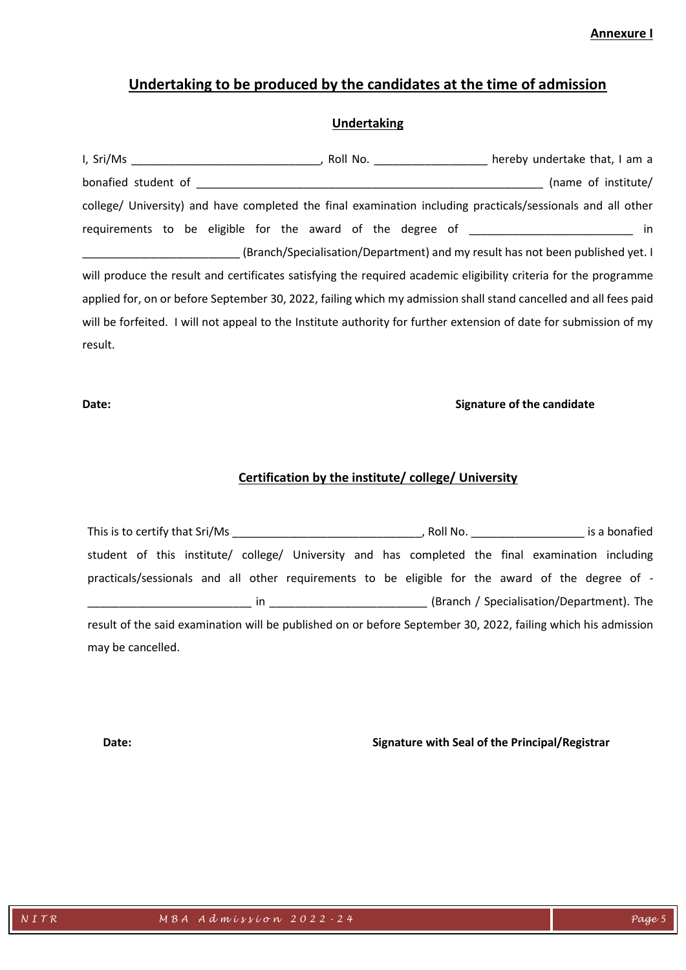**Annexure I** 

# **Undertaking to be produced by the candidates at the time of admission**

## **Undertaking**

|                                                                                                                    |  | Roll No. Note that, I am a                                                     |
|--------------------------------------------------------------------------------------------------------------------|--|--------------------------------------------------------------------------------|
| bonafied student of                                                                                                |  | (name of institute/                                                            |
| college/ University) and have completed the final examination including practicals/sessionals and all other        |  |                                                                                |
| requirements to be eligible for the award of the degree of _____________________                                   |  | in                                                                             |
|                                                                                                                    |  | (Branch/Specialisation/Department) and my result has not been published yet. I |
| will produce the result and certificates satisfying the required academic eligibility criteria for the programme   |  |                                                                                |
| applied for, on or before September 30, 2022, failing which my admission shall stand cancelled and all fees paid   |  |                                                                                |
| will be forfeited. I will not appeal to the Institute authority for further extension of date for submission of my |  |                                                                                |
| result.                                                                                                            |  |                                                                                |

### **Date: Signature of the candidate**

## **Certification by the institute/ college/ University**

| This is to certify that Sri/Ms                                                                                                                                                                                                                                                                                    | , Roll No. And a state of the state of the state of the state of the state of the state of the state of the st | is a bonafied                             |  |
|-------------------------------------------------------------------------------------------------------------------------------------------------------------------------------------------------------------------------------------------------------------------------------------------------------------------|----------------------------------------------------------------------------------------------------------------|-------------------------------------------|--|
| student of this institute/ college/ University and has completed the final examination including                                                                                                                                                                                                                  |                                                                                                                |                                           |  |
| practicals/sessionals and all other requirements to be eligible for the award of the degree of -                                                                                                                                                                                                                  |                                                                                                                |                                           |  |
| $\mathsf{in}$ and $\mathsf{in}$ and $\mathsf{in}$ and $\mathsf{in}$ and $\mathsf{in}$ and $\mathsf{in}$ and $\mathsf{in}$ and $\mathsf{in}$ and $\mathsf{in}$ and $\mathsf{in}$ and $\mathsf{in}$ and $\mathsf{in}$ and $\mathsf{in}$ and $\mathsf{in}$ and $\mathsf{in}$ and $\mathsf{in}$ and $\mathsf{in}$ and |                                                                                                                | (Branch / Specialisation/Department). The |  |
| result of the said examination will be published on or before September 30, 2022, failing which his admission                                                                                                                                                                                                     |                                                                                                                |                                           |  |
| may be cancelled.                                                                                                                                                                                                                                                                                                 |                                                                                                                |                                           |  |

**Date: Signature with Seal of the Principal/Registrar**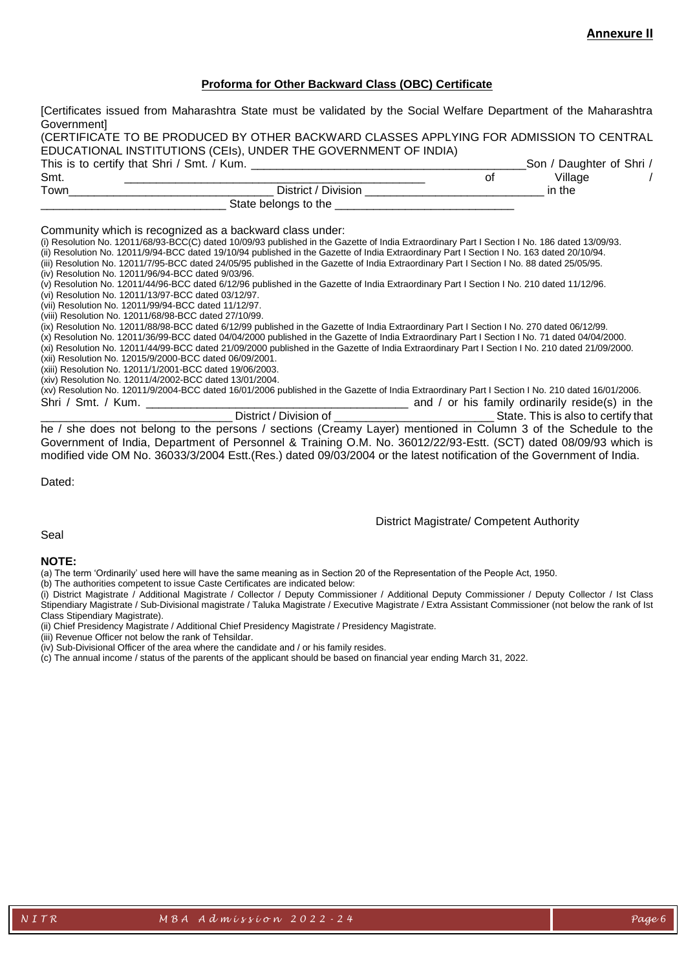### **Proforma for Other Backward Class (OBC) Certificate**

|                                                       | [Certificates issued from Maharashtra State must be validated by the Social Welfare Department of the Maharashtra                               |    |         |
|-------------------------------------------------------|-------------------------------------------------------------------------------------------------------------------------------------------------|----|---------|
| Government                                            |                                                                                                                                                 |    |         |
|                                                       | (CERTIFICATE TO BE PRODUCED BY OTHER BACKWARD CLASSES APPLYING FOR ADMISSION TO CENTRAL                                                         |    |         |
|                                                       | EDUCATIONAL INSTITUTIONS (CEIs), UNDER THE GOVERNMENT OF INDIA)                                                                                 |    |         |
| This is to certify that Shri / Smt. / Kum.            | Son / Daughter of Shri /                                                                                                                        |    |         |
| Smt.                                                  |                                                                                                                                                 | 0f | Village |
| Town                                                  |                                                                                                                                                 |    | in the  |
|                                                       | State belongs to the                                                                                                                            |    |         |
|                                                       |                                                                                                                                                 |    |         |
|                                                       | Community which is recognized as a backward class under:                                                                                        |    |         |
|                                                       | (i) Resolution No. 12011/68/93-BCC(C) dated 10/09/93 published in the Gazette of India Extraordinary Part I Section I No. 186 dated 13/09/93.   |    |         |
|                                                       | (ii) Resolution No. 12011/9/94-BCC dated 19/10/94 published in the Gazette of India Extraordinary Part I Section I No. 163 dated 20/10/94.      |    |         |
|                                                       | (iii) Resolution No. 12011/7/95-BCC dated 24/05/95 published in the Gazette of India Extraordinary Part I Section I No. 88 dated 25/05/95.      |    |         |
| (iv) Resolution No. 12011/96/94-BCC dated 9/03/96.    |                                                                                                                                                 |    |         |
|                                                       | (v) Resolution No. 12011/44/96-BCC dated 6/12/96 published in the Gazette of India Extraordinary Part I Section I No. 210 dated 11/12/96.       |    |         |
| (vi) Resolution No. 12011/13/97-BCC dated 03/12/97.   |                                                                                                                                                 |    |         |
| (vii) Resolution No. 12011/99/94-BCC dated 11/12/97.  |                                                                                                                                                 |    |         |
| (viii) Resolution No. 12011/68/98-BCC dated 27/10/99. |                                                                                                                                                 |    |         |
|                                                       | (ix) Resolution No. 12011/88/98-BCC dated 6/12/99 published in the Gazette of India Extraordinary Part I Section I No. 270 dated 06/12/99.      |    |         |
|                                                       | (x) Resolution No. 12011/36/99-BCC dated 04/04/2000 published in the Gazette of India Extraordinary Part I Section I No. 71 dated 04/04/2000.   |    |         |
|                                                       | (xi) Resolution No. 12011/44/99-BCC dated 21/09/2000 published in the Gazette of India Extraordinary Part I Section I No. 210 dated 21/09/2000. |    |         |
|                                                       | (xii) Resolution No. 12015/9/2000-BCC dated 06/09/2001.                                                                                         |    |         |
|                                                       | (xiii) Resolution No. 12011/1/2001-BCC dated 19/06/2003.                                                                                        |    |         |
| $1.1.7$ $1.1.1$ $1.0011110000000000001$               |                                                                                                                                                 |    |         |

(xiv) Resolution No. 12011/4/2002-BCC dated 13/01/2004.

(xv) Resolution No. 12011/9/2004-BCC dated 16/01/2006 published in the Gazette of India Extraordinary Part I Section I No. 210 dated 16/01/2006. Shri / Smt. / Kum. \_\_\_\_\_\_\_\_\_\_\_\_\_\_\_\_\_\_\_\_\_\_\_\_\_\_\_\_\_\_\_\_\_\_\_\_\_\_\_\_\_ and / or his family ordinarily reside(s) in the

\_\_\_\_\_\_\_\_\_\_\_\_\_\_\_\_\_\_\_\_\_\_\_\_\_\_\_\_\_\_ District / Division of \_\_\_\_\_\_\_\_\_\_\_\_\_\_\_\_\_\_\_\_\_\_\_\_\_ State. This is also to certify that he / she does not belong to the persons / sections (Creamy Layer) mentioned in Column 3 of the Schedule to the Government of India, Department of Personnel & Training O.M. No. 36012/22/93-Estt. (SCT) dated 08/09/93 which is modified vide OM No. 36033/3/2004 Estt.(Res.) dated 09/03/2004 or the latest notification of the Government of India.

Dated:

### District Magistrate/ Competent Authority

### Seal

### **NOTE:**

(a) The term 'Ordinarily' used here will have the same meaning as in Section 20 of the Representation of the People Act, 1950.

(b) The authorities competent to issue Caste Certificates are indicated below:

(i) District Magistrate / Additional Magistrate / Collector / Deputy Commissioner / Additional Deputy Commissioner / Deputy Collector / Ist Class Stipendiary Magistrate / Sub-Divisional magistrate / Taluka Magistrate / Executive Magistrate / Extra Assistant Commissioner (not below the rank of Ist Class Stipendiary Magistrate).

(ii) Chief Presidency Magistrate / Additional Chief Presidency Magistrate / Presidency Magistrate.

(iii) Revenue Officer not below the rank of Tehsildar.

(iv) Sub-Divisional Officer of the area where the candidate and / or his family resides.

(c) The annual income / status of the parents of the applicant should be based on financial year ending March 31, 2022.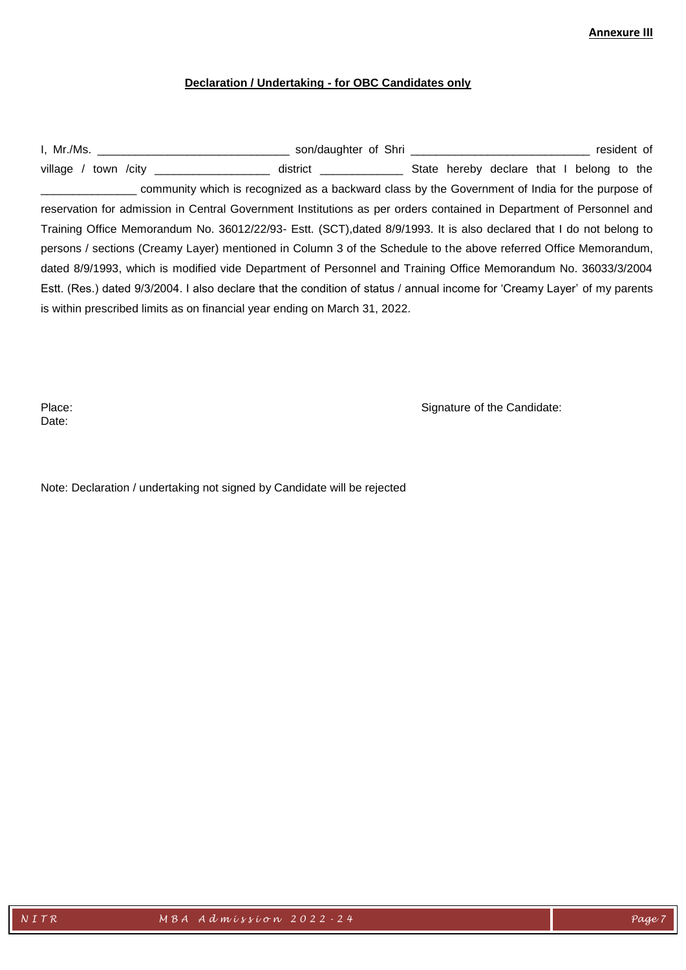### **Annexure III**

### **Declaration / Undertaking - for OBC Candidates only**

I, Mr./Ms. \_\_\_\_\_\_\_\_\_\_\_\_\_\_\_\_\_\_\_\_\_\_\_\_\_\_\_\_\_\_ son/daughter of Shri \_\_\_\_\_\_\_\_\_\_\_\_\_\_\_\_\_\_\_\_\_\_\_\_\_\_\_\_ resident of village / town /city \_\_\_\_\_\_\_\_\_\_\_\_\_\_\_\_\_\_\_\_\_\_ district \_\_\_\_\_\_\_\_\_\_\_\_\_\_\_\_\_\_ State hereby declare that I belong to the \_\_\_\_\_\_\_\_\_\_\_\_\_\_\_ community which is recognized as a backward class by the Government of India for the purpose of reservation for admission in Central Government Institutions as per orders contained in Department of Personnel and Training Office Memorandum No. 36012/22/93- Estt. (SCT),dated 8/9/1993. It is also declared that I do not belong to persons / sections (Creamy Layer) mentioned in Column 3 of the Schedule to the above referred Office Memorandum, dated 8/9/1993, which is modified vide Department of Personnel and Training Office Memorandum No. 36033/3/2004 Estt. (Res.) dated 9/3/2004. I also declare that the condition of status / annual income for 'Creamy Layer' of my parents is within prescribed limits as on financial year ending on March 31, 2022.

Date:

Place: Signature of the Candidate:

Note: Declaration / undertaking not signed by Candidate will be rejected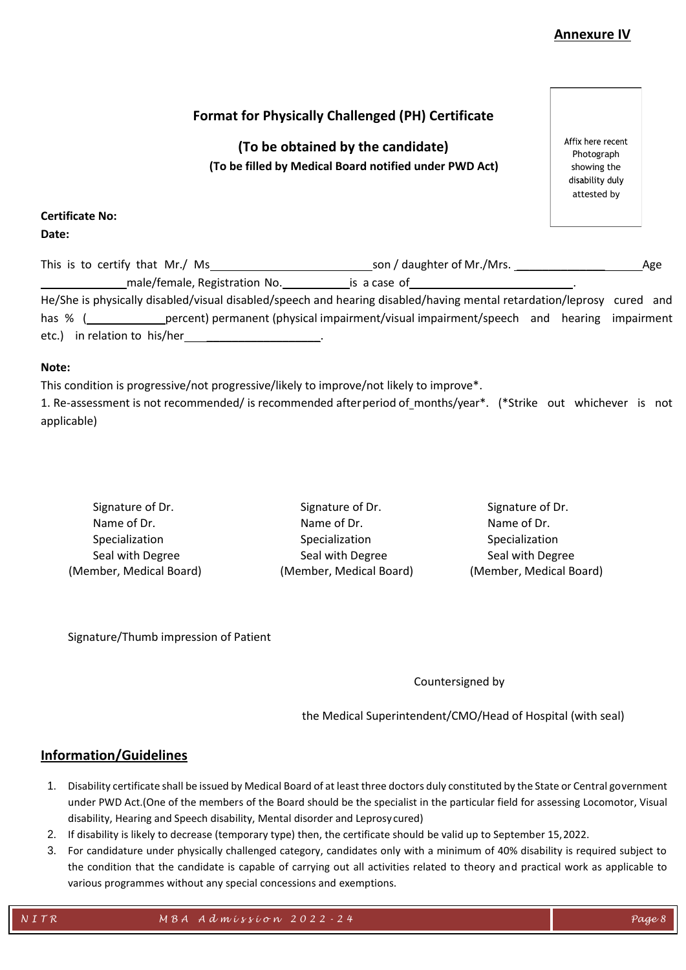## **Annexure IV**

**(To be obtained by the candidate) (To be filled by Medical Board notified under PWD Act)** Affix here recent Photograph showing the disability duly attested by

**Certificate No:**

**Date:**

| This is to certify that Mr./ Ms                                                                                       | son / daughter of Mr./Mrs. |  |  |
|-----------------------------------------------------------------------------------------------------------------------|----------------------------|--|--|
| male/female, Registration No.                                                                                         | is a case of               |  |  |
| He/She is physically disabled/visual disabled/speech and hearing disabled/having mental retardation/leprosy cured and |                            |  |  |

|       |                              | in the same are as a second that the same of the same of the same of the same of the same of the same of the s |  |  |  |  |
|-------|------------------------------|----------------------------------------------------------------------------------------------------------------|--|--|--|--|
| has % |                              | percent) permanent (physical impairment/visual impairment/speech and hearing impairment                        |  |  |  |  |
|       | etc.) in relation to his/her |                                                                                                                |  |  |  |  |

### **Note:**

This condition is progressive/not progressive/likely to improve/not likely to improve\*.

1. Re-assessment is not recommended/ is recommended afterperiod of months/year\*. (\*Strike out whichever is not applicable)

| Signature of Dr.        | Signature of Dr.        | Signature of Dr.        |
|-------------------------|-------------------------|-------------------------|
| Name of Dr.             | Name of Dr.             | Name of Dr.             |
| Specialization          | Specialization          | Specialization          |
| Seal with Degree        | Seal with Degree        | Seal with Degree        |
| (Member, Medical Board) | (Member, Medical Board) | (Member, Medical Board) |

Signature/Thumb impression of Patient

Countersigned by

the Medical Superintendent/CMO/Head of Hospital (with seal)

## **Information/Guidelines**

- 1. Disability certificate shall be issued by Medical Board of at least three doctors duly constituted by the State or Central government under PWD Act.(One of the members of the Board should be the specialist in the particular field for assessing Locomotor, Visual disability, Hearing and Speech disability, Mental disorder and Leprosy cured)
- 2. If disability is likely to decrease (temporary type) then, the certificate should be valid up to September 15,2022.
- 3. For candidature under physically challenged category, candidates only with a minimum of 40% disability is required subject to the condition that the candidate is capable of carrying out all activities related to theory and practical work as applicable to various programmes without any special concessions and exemptions.